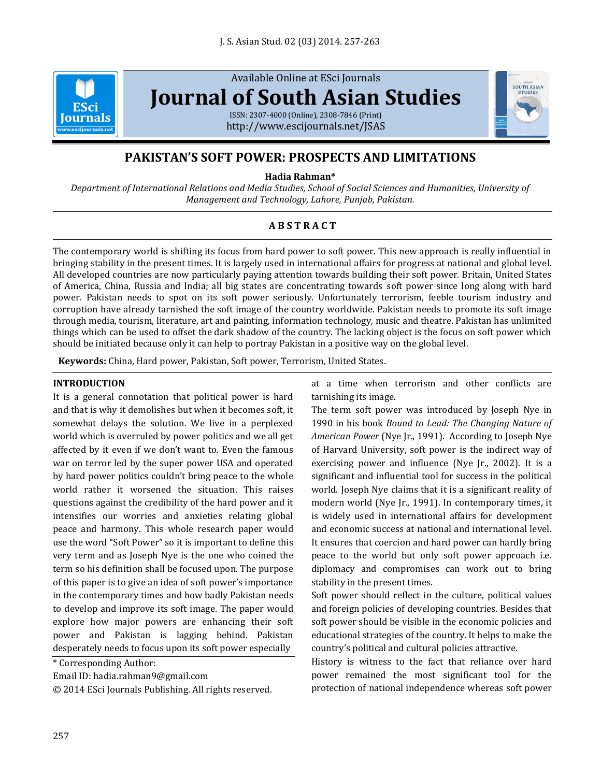

Available Online at ESci Journals **[Journal of South Asian Studies](http://www.escijournals.net/JSAS)** ISSN: 2307-4000 (Online), 2308-7846 (Print)

<http://www.escijournals.net/JSAS>



# **PAKISTAN'S SOFT POWER: PROSPECTS AND LIMITATIONS**

**Hadia Rahman\***

*Department of International Relations and Media Studies, School of Social Sciences and Humanities, University of Management and Technology, Lahore, Punjab, Pakistan.*

# **A B S T R A C T**

The contemporary world is shifting its focus from hard power to soft power. This new approach is really influential in bringing stability in the present times. It is largely used in international affairs for progress at national and global level. All developed countries are now particularly paying attention towards building their soft power. Britain, United States of America, China, Russia and India; all big states are concentrating towards soft power since long along with hard power. Pakistan needs to spot on its soft power seriously. Unfortunately terrorism, feeble tourism industry and corruption have already tarnished the soft image of the country worldwide. Pakistan needs to promote its soft image through media, tourism, literature, art and painting, information technology, music and theatre. Pakistan has unlimited things which can be used to offset the dark shadow of the country. The lacking object is the focus on soft power which should be initiated because only it can help to portray Pakistan in a positive way on the global level.

**Keywords:** China, Hard power, Pakistan, Soft power, Terrorism, United States.

## **INTRODUCTION**

It is a general connotation that political power is hard and that is why it demolishes but when it becomes soft, it somewhat delays the solution. We live in a perplexed world which is overruled by power politics and we all get affected by it even if we don't want to. Even the famous war on terror led by the super power USA and operated by hard power politics couldn't bring peace to the whole world rather it worsened the situation. This raises questions against the credibility of the hard power and it intensifies our worries and anxieties relating global peace and harmony. This whole research paper would use the word "Soft Power" so it is important to define this very term and as Joseph Nye is the one who coined the term so his definition shall be focused upon. The purpose of this paper is to give an idea of soft power's importance in the contemporary times and how badly Pakistan needs to develop and improve its soft image. The paper would explore how major powers are enhancing their soft power and Pakistan is lagging behind. Pakistan desperately needs to focus upon its soft power especially

\* Corresponding Author:

© 2014 ESci Journals Publishing. All rights reserved.

at a time when terrorism and other conflicts are tarnishing its image.

The term soft power was introduced by Joseph Nye in 1990 in his book *Bound to Lead: The Changing Nature of American Power* (Nye Jr., 1991). According to [Joseph Nye](http://en.wikipedia.org/wiki/Joseph_Nye) of [Harvard University,](http://en.wikipedia.org/wiki/Harvard_University) soft power is the indirect way of exercising power and influence (Nye Jr., 2002). It is a significant and influential tool for success in the political world. Joseph Nye claims that it is a significant reality of modern world (Nye Jr., 1991). In contemporary times, it is widely used in international affairs for development and economic success at national and international level. It ensures that coercion and hard power can hardly bring peace to the world but only soft power approach i.e. diplomacy and compromises can work out to bring stability in the present times.

Soft power should reflect in the culture, political values and foreign policies of developing countries. Besides that soft power should be visible in the economic policies and educational strategies of the country. It helps to make the country's political and cultural policies attractive.

History is witness to the fact that reliance over hard power remained the most significant tool for the protection of national independence whereas soft power

Email ID: hadia.rahman9@gmail.com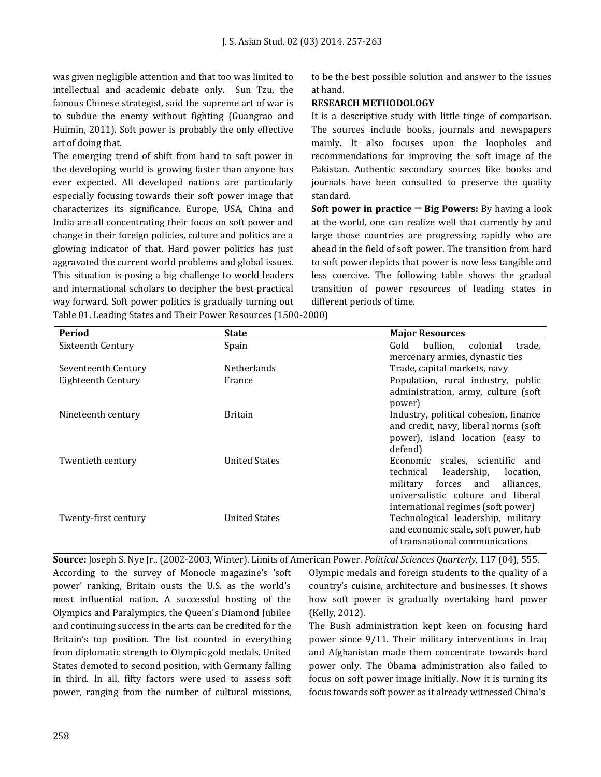was given negligible attention and that too was limited to intellectual and academic debate only. Sun Tzu, the famous Chinese strategist, said the supreme art of war is to subdue the enemy without fighting (Guangrao and Huimin, 2011). Soft power is probably the only effective art of doing that.

The emerging trend of shift from hard to soft power in the developing world is growing faster than anyone has ever expected. All developed nations are particularly especially focusing towards their soft power image that characterizes its significance. Europe, USA, China and India are all concentrating their focus on soft power and change in their foreign policies, culture and politics are a glowing indicator of that. Hard power politics has just aggravated the current world problems and global issues. This situation is posing a big challenge to world leaders and international scholars to decipher the best practical way forward. Soft power politics is gradually turning out Table 01. Leading States and Their Power Resources (1500-2000)

to be the best possible solution and answer to the issues at hand.

## **RESEARCH METHODOLOGY**

It is a descriptive study with little tinge of comparison. The sources include books, journals and newspapers mainly. It also focuses upon the loopholes and recommendations for improving the soft image of the Pakistan. Authentic secondary sources like books and journals have been consulted to preserve the quality standard.

**Soft power in practice ─ Big Powers:** By having a look at the world, one can realize well that currently by and large those countries are progressing rapidly who are ahead in the field of soft power. The transition from hard to soft power depicts that power is now less tangible and less coercive. The following table shows the gradual transition of power resources of leading states in different periods of time.

| Period               | <b>State</b>         | <b>Major Resources</b>                  |
|----------------------|----------------------|-----------------------------------------|
| Sixteenth Century    | Spain                | Gold<br>bullion.<br>colonial<br>trade.  |
|                      |                      | mercenary armies, dynastic ties         |
| Seventeenth Century  | <b>Netherlands</b>   | Trade, capital markets, navy            |
| Eighteenth Century   | France               | Population, rural industry, public      |
|                      |                      | administration, army, culture (soft     |
|                      |                      | power)                                  |
| Nineteenth century   | <b>Britain</b>       | Industry, political cohesion, finance   |
|                      |                      | and credit, navy, liberal norms (soft   |
|                      |                      | power), island location (easy to        |
|                      |                      | defend)                                 |
| Twentieth century    | <b>United States</b> | Economic scales, scientific and         |
|                      |                      | technical<br>leadership,<br>location,   |
|                      |                      | forces<br>military<br>and<br>alliances. |
|                      |                      | universalistic culture and liberal      |
|                      |                      | international regimes (soft power)      |
| Twenty-first century | <b>United States</b> | Technological leadership, military      |
|                      |                      | and economic scale, soft power, hub     |
|                      |                      | of transnational communications         |

**Source:** Joseph S. Nye Jr., (2002-2003, Winter). Limits of American Power. *Political Sciences Quarterly,* 117 (04), 555.

According to the survey of Monocle magazine's 'soft power' ranking, Britain ousts the U.S. as the world's most influential nation. A successful hosting of the Olympics and Paralympics, the Queen's Diamond Jubilee and continuing success in the arts can be credited for the Britain's top position. The list counted in everything from diplomatic strength to Olympic gold medals. United States demoted to second position, with Germany falling in third. In all, fifty factors were used to assess soft power, ranging from the number of cultural missions, Olympic medals and foreign students to the quality of a country's cuisine, architecture and businesses. It shows how soft power is gradually overtaking hard power (Kelly, 2012).

The Bush administration kept keen on focusing hard power since 9/11. Their military interventions in Iraq and Afghanistan made them concentrate towards hard power only. The Obama administration also failed to focus on soft power image initially. Now it is turning its focus towards soft power as it already witnessed China's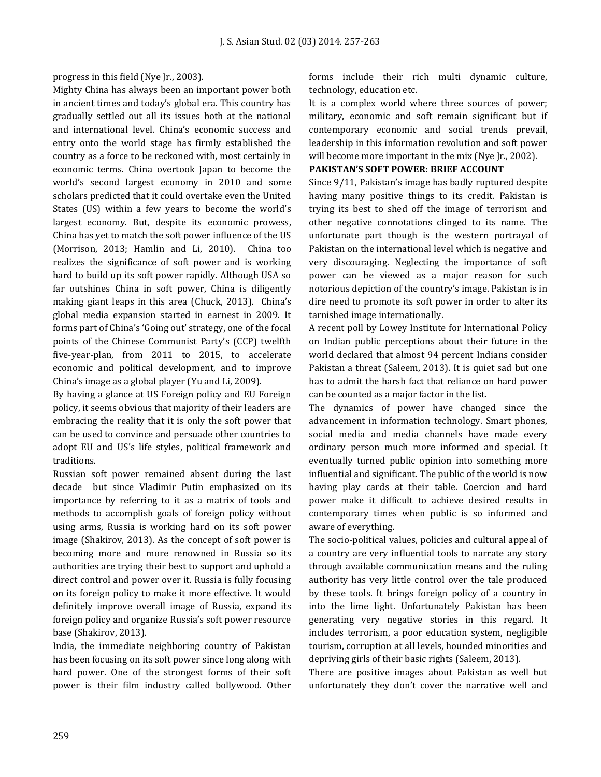progress in this field (Nye Jr., 2003).

Mighty China has always been an important power both in ancient times and today's global era. This country has gradually settled out all its issues both at the national and international level. China's economic success and entry onto the world stage has firmly established the country as a force to be reckoned with, most certainly in economic terms. China overtook Japan to become the world's second largest economy in 2010 and some scholars predicted that it could overtake even the United States (US) within a few years to become the world's largest economy. But, despite its economic prowess, China has yet to match the soft power influence of the US (Morrison, 2013; Hamlin and Li, 2010). China too realizes the significance of soft power and is working hard to build up its soft power rapidly. Although USA so far outshines China in soft power, China is diligently making giant leaps in this area [\(Chuck](http://www.acus.org/users/adrienne-chuck), 2013). China's global media expansion started in earnest in 2009. It forms part of China's 'Going out' strategy, one of the focal points of the Chinese Communist Party's (CCP) twelfth five-year-plan, from 2011 to 2015, to accelerate economic and political development, and to improve China's image as a global player (Yu and Li, 2009).

By having a glance at US Foreign policy and EU Foreign policy, it seems obvious that majority of their leaders are embracing the reality that it is only the soft power that can be used to convince and persuade other countries to adopt EU and US's life styles, political framework and traditions.

Russian soft power remained absent during the last decade but since Vladimir Putin emphasized on its importance by referring to it as a matrix of tools and methods to accomplish goals of foreign policy without using arms, Russia is working hard on its soft power image (Shakirov, 2013). As the concept of soft power is becoming more and more renowned in Russia so its authorities are trying their best to support and uphold a direct control and power over it. Russia is fully focusing on its foreign policy to make it more effective. It would definitely improve overall image of Russia, expand its foreign policy and organize Russia's soft power resource base (Shakirov, 2013).

India, the immediate neighboring country of Pakistan has been focusing on its soft power since long along with hard power. One of the strongest forms of their soft power is their film industry called bollywood. Other forms include their rich multi dynamic culture, technology, education etc.

It is a complex world where three sources of power; military, economic and soft remain significant but if contemporary economic and social trends prevail, leadership in this information revolution and soft power will become more important in the mix (Nye Jr., 2002).

# **PAKISTAN'S SOFT POWER: BRIEF ACCOUNT**

Since 9/11, Pakistan's image has badly ruptured despite having many positive things to its credit. Pakistan is trying its best to shed off the image of terrorism and other negative connotations clinged to its name. The unfortunate part though is the western portrayal of Pakistan on the international level which is negative and very discouraging. Neglecting the importance of soft power can be viewed as a major reason for such notorious depiction of the country's image. Pakistan is in dire need to promote its soft power in order to alter its tarnished image internationally.

A recent poll by Lowey Institute for International Policy on Indian public perceptions about their future in the world declared that almost 94 percent Indians consider Pakistan a threat (Saleem, 2013). It is quiet sad but one has to admit the harsh fact that reliance on hard power can be counted as a major factor in the list.

The dynamics of power have changed since the advancement in information technology. Smart phones, social media and media channels have made every ordinary person much more informed and special. It eventually turned public opinion into something more influential and significant. The public of the world is now having play cards at their table. Coercion and hard power make it difficult to achieve desired results in contemporary times when public is so informed and aware of everything.

The socio-political values, policies and cultural appeal of a country are very influential tools to narrate any story through available communication means and the ruling authority has very little control over the tale produced by these tools. It brings foreign policy of a country in into the lime light. Unfortunately Pakistan has been generating very negative stories in this regard. It includes terrorism, a poor education system, negligible tourism, corruption at all levels, hounded minorities and depriving girls of their basic rights (Saleem, 2013).

There are positive images about Pakistan as well but unfortunately they don't cover the narrative well and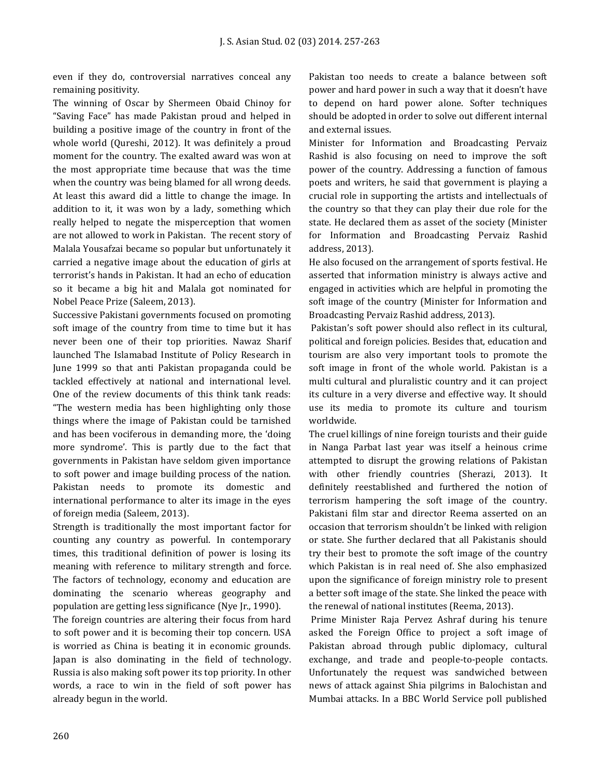even if they do, controversial narratives conceal any remaining positivity.

The winning of Oscar by Shermeen Obaid Chinoy for "Saving Face" has made Pakistan proud and helped in building a positive image of the country in front of the whole world (Qureshi, 2012). It was definitely a proud moment for the country. The exalted award was won at the most appropriate time because that was the time when the country was being blamed for all wrong deeds. At least this award did a little to change the image. In addition to it, it was won by a lady, something which really helped to negate the misperception that women are not allowed to work in Pakistan. The recent story of Malala Yousafzai became so popular but unfortunately it carried a negative image about the education of girls at terrorist's hands in Pakistan. It had an echo of education so it became a big hit and Malala got nominated for Nobel Peace Prize (Saleem, 2013).

Successive Pakistani governments focused on promoting soft image of the country from time to time but it has never been one of their top priorities. Nawaz Sharif launched The Islamabad Institute of Policy Research in June 1999 so that anti Pakistan propaganda could be tackled effectively at national and international level. One of the review documents of this think tank reads: "The western media has been highlighting only those things where the image of Pakistan could be tarnished and has been vociferous in demanding more, the 'doing more syndrome'. This is partly due to the fact that governments in Pakistan have seldom given importance to soft power and image building process of the nation. Pakistan needs to promote its domestic and international performance to alter its image in the eyes of foreign media (Saleem, 2013).

Strength is traditionally the most important factor for counting any country as powerful. In contemporary times, this traditional definition of power is losing its meaning with reference to military strength and force. The factors of technology, economy and education are dominating the scenario whereas geography and population are getting less significance (Nye Jr., 1990).

The foreign countries are altering their focus from hard to soft power and it is becoming their top concern. USA is worried as China is beating it in economic grounds. Japan is also dominating in the field of technology. Russia is also making soft power its top priority. In other words, a race to win in the field of soft power has already begun in the world.

Pakistan too needs to create a balance between soft power and hard power in such a way that it doesn't have to depend on hard power alone. Softer techniques should be adopted in order to solve out different internal and external issues.

Minister for Information and Broadcasting Pervaiz Rashid is also focusing on need to improve the soft power of the country. Addressing a function of famous poets and writers, he said that government is playing a crucial role in supporting the artists and intellectuals of the country so that they can play their due role for the state. He declared them as asset of the society (Minister for Information and Broadcasting Pervaiz Rashid address, 2013).

He also focused on the arrangement of sports festival. He asserted that information ministry is always active and engaged in activities which are helpful in promoting the soft image of the country (Minister for Information and Broadcasting Pervaiz Rashid address, 2013).

Pakistan's soft power should also reflect in its cultural, political and foreign policies. Besides that, education and tourism are also very important tools to promote the soft image in front of the whole world. Pakistan is a multi cultural and pluralistic country and it can project its culture in a very diverse and effective way. It should use its media to promote its culture and tourism worldwide.

The cruel killings of nine foreign tourists and their guide in Nanga Parbat last year was itself a heinous crime attempted to disrupt the growing relations of Pakistan with other friendly countries (Sherazi, 2013). It definitely reestablished and furthered the notion of terrorism hampering the soft image of the country. Pakistani film star and director Reema asserted on an occasion that terrorism shouldn't be linked with religion or state. She further declared that all Pakistanis should try their best to promote the soft image of the country which Pakistan is in real need of. She also emphasized upon the significance of foreign ministry role to present a better soft image of the state. She linked the peace with the renewal of national institutes (Reema, 2013).

Prime Minister Raja Pervez Ashraf during his tenure asked the Foreign Office to project a soft image of Pakistan abroad through public diplomacy, cultural exchange, and trade and people-to-people contacts. Unfortunately the request was sandwiched between news of attack against Shia pilgrims in Balochistan and Mumbai attacks. In a BBC World Service poll published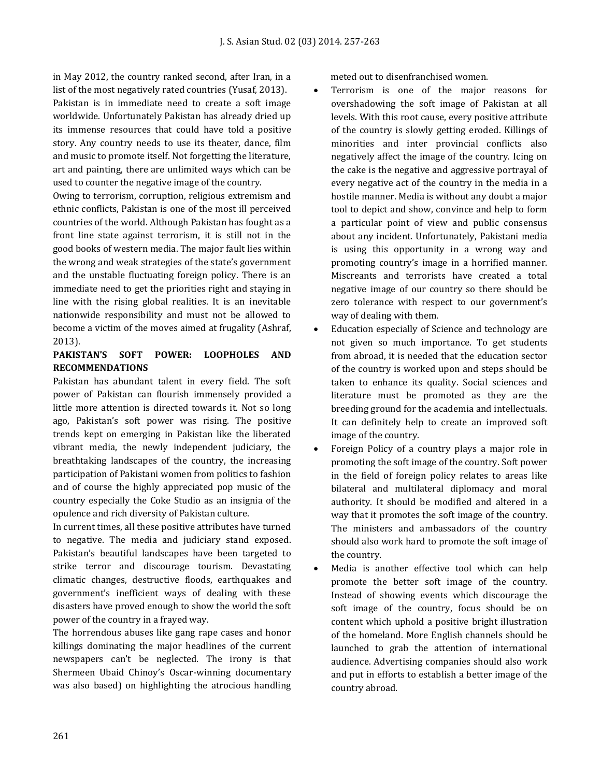in May 2012, the country ranked second, after Iran, in a list of the most negatively rated countries (Yusaf, 2013). Pakistan is in immediate need to create a soft image worldwide. Unfortunately Pakistan has already dried up its immense resources that could have told a positive story. Any country needs to use its theater, dance, film and music to promote itself. Not forgetting the literature, art and painting, there are unlimited ways which can be used to counter the negative image of the country.

Owing to terrorism, corruption, religious extremism and ethnic conflicts, Pakistan is one of the most ill perceived countries of the world. Although Pakistan has fought as a front line state against terrorism, it is still not in the good books of western media. The major fault lies within the wrong and weak strategies of the state's government and the unstable fluctuating foreign policy. There is an immediate need to get the priorities right and staying in line with the rising global realities. It is an inevitable nationwide responsibility and must not be allowed to become a victim of the moves aimed at frugality (Ashraf, 2013).

# **PAKISTAN'S SOFT POWER: LOOPHOLES AND RECOMMENDATIONS**

Pakistan has abundant talent in every field. The soft power of Pakistan can flourish immensely provided a little more attention is directed towards it. Not so long ago, Pakistan's soft power was rising. The positive trends kept on emerging in Pakistan like the liberated vibrant media, the newly independent judiciary, the breathtaking landscapes of the country, the increasing participation of Pakistani women from politics to fashion and of course the highly appreciated pop music of the country especially the Coke Studio as an insignia of the opulence and rich diversity of Pakistan culture.

In current times, all these positive attributes have turned to negative. The media and judiciary stand exposed. Pakistan's beautiful landscapes have been targeted to strike terror and discourage tourism. Devastating climatic changes, destructive floods, earthquakes and government's inefficient ways of dealing with these disasters have proved enough to show the world the soft power of the country in a frayed way.

The horrendous abuses like gang rape cases and honor killings dominating the major headlines of the current newspapers can't be neglected. The irony is that Shermeen Ubaid Chinoy's Oscar-winning documentary was also based) on highlighting the atrocious handling meted out to disenfranchised women.

- Terrorism is one of the major reasons for overshadowing the soft image of Pakistan at all levels. With this root cause, every positive attribute of the country is slowly getting eroded. Killings of minorities and inter provincial conflicts also negatively affect the image of the country. Icing on the cake is the negative and aggressive portrayal of every negative act of the country in the media in a hostile manner. Media is without any doubt a major tool to depict and show, convince and help to form a particular point of view and public consensus about any incident. Unfortunately, Pakistani media is using this opportunity in a wrong way and promoting country's image in a horrified manner. Miscreants and terrorists have created a total negative image of our country so there should be zero tolerance with respect to our government's way of dealing with them.
- Education especially of Science and technology are not given so much importance. To get students from abroad, it is needed that the education sector of the country is worked upon and steps should be taken to enhance its quality. Social sciences and literature must be promoted as they are the breeding ground for the academia and intellectuals. It can definitely help to create an improved soft image of the country.
- Foreign Policy of a country plays a major role in promoting the soft image of the country. Soft power in the field of foreign policy relates to areas like bilateral and multilateral diplomacy and moral authority. It should be modified and altered in a way that it promotes the soft image of the country. The ministers and ambassadors of the country should also work hard to promote the soft image of the country.
- Media is another effective tool which can help promote the better soft image of the country. Instead of showing events which discourage the soft image of the country, focus should be on content which uphold a positive bright illustration of the homeland. More English channels should be launched to grab the attention of international audience. Advertising companies should also work and put in efforts to establish a better image of the country abroad.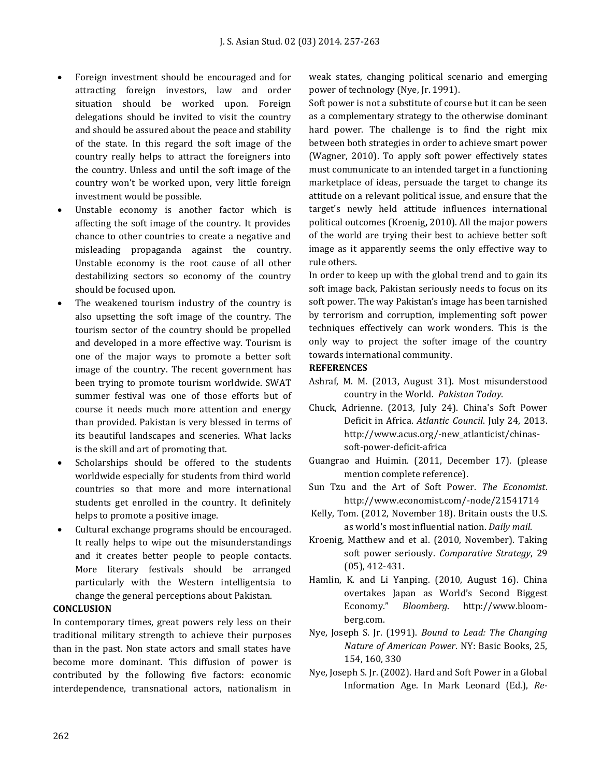- Foreign investment should be encouraged and for attracting foreign investors, law and order situation should be worked upon. Foreign delegations should be invited to visit the country and should be assured about the peace and stability of the state. In this regard the soft image of the country really helps to attract the foreigners into the country. Unless and until the soft image of the country won't be worked upon, very little foreign investment would be possible.
- Unstable economy is another factor which is affecting the soft image of the country. It provides chance to other countries to create a negative and misleading propaganda against the country. Unstable economy is the root cause of all other destabilizing sectors so economy of the country should be focused upon.
- The weakened tourism industry of the country is also upsetting the soft image of the country. The tourism sector of the country should be propelled and developed in a more effective way. Tourism is one of the major ways to promote a better soft image of the country. The recent government has been trying to promote tourism worldwide. SWAT summer festival was one of those efforts but of course it needs much more attention and energy than provided. Pakistan is very blessed in terms of its beautiful landscapes and sceneries. What lacks is the skill and art of promoting that.
- Scholarships should be offered to the students worldwide especially for students from third world countries so that more and more international students get enrolled in the country. It definitely helps to promote a positive image.
- Cultural exchange programs should be encouraged. It really helps to wipe out the misunderstandings and it creates better people to people contacts. More literary festivals should be arranged particularly with the Western intelligentsia to change the general perceptions about Pakistan.

#### **CONCLUSION**

In contemporary times, great powers rely less on their traditional military strength to achieve their purposes than in the past. Non state actors and small states have become more dominant. This diffusion of power is contributed by the following five factors: economic interdependence, transnational actors, nationalism in weak states, changing political scenario and emerging power of technology (Nye, Jr. 1991).

Soft power is not a substitute of course but it can be seen as a complementary strategy to the otherwise dominant hard power. The challenge is to find the right mix between both strategies in order to achieve smart power (Wagner, 2010). To apply soft power effectively states must communicate to an intended target in a functioning marketplace of ideas, persuade the target to change its attitude on a relevant political issue, and ensure that the target's newly held attitude influences international political outcomes [\(Kroenig](http://belfercenter.hks.harvard.edu/experts/1120/matthew_kroenig.html?back_url=%2Fpublication%2F20678%2Ftaking_soft_power_seriously.html&back_text=Back%20to%20publication)**,** 2010). All the major powers of the world are trying their best to achieve better soft image as it apparently seems the only effective way to rule others.

In order to keep up with the global trend and to gain its soft image back, Pakistan seriously needs to focus on its soft power. The way Pakistan's image has been tarnished by terrorism and corruption, implementing soft power techniques effectively can work wonders. This is the only way to project the softer image of the country towards international community.

#### **REFERENCES**

- Ashraf, M. M. (2013, August 31). Most misunderstood country in the World. *Pakistan Today*.
- [Chuck,](http://www.acus.org/users/adrienne-chuck) Adrienne. (2013, July 24). [China's Soft Power](http://www.acus.org/new_atlanticist/chinas-soft-power-deficit-africa)  [Deficit in Africa.](http://www.acus.org/new_atlanticist/chinas-soft-power-deficit-africa) *Atlantic Council*. July 24, 2013. http://www.acus.org/-new\_atlanticist/chinassoft-power-deficit-africa
- Guangrao and Huimin. (2011, December 17). (please mention complete reference).
- Sun Tzu and the Art of Soft Power. *The Economist*. http://www.economist.com/-node/21541714
- [Kelly, Tom. \(2012, November 18\). Britain ousts the U.S.](http://belfercenter.hks.harvard.edu/experts/1120/matthew_kroenig.html?back_url=%2Fpublication%2F20678%2Ftaking_soft_power_seriously.html&back_text=Back%20to%20publication)  [as world's most influential](http://belfercenter.hks.harvard.edu/experts/1120/matthew_kroenig.html?back_url=%2Fpublication%2F20678%2Ftaking_soft_power_seriously.html&back_text=Back%20to%20publication) nation. *Daily mail*.
- [Kroenig,](http://belfercenter.hks.harvard.edu/experts/1120/matthew_kroenig.html?back_url=%2Fpublication%2F20678%2Ftaking_soft_power_seriously.html&back_text=Back%20to%20publication) Matthew and et al. (2010, November). Taking soft power seriously. *Comparative Strategy*, 29 (05), 412-431.
- Hamlin, K. and [Li Yanping.](http://search.bloomberg.com/search?q=Li%20Yanping&site=wnews&client=wnews&proxystylesheet=wnews&output=xml_no_dtd&ie=UTF-8&oe=UTF-8&filter=p&getfields=wnnis&sort=date:D:S:d1&partialfields=-wnnis:NOAVSYND&lr=-lang_ja) (2010, August 16). China overtakes Japan as World's Second Biggest Economy." *Bloomberg*. [http://www.bloom](http://www.bloom-berg.com/)[berg.com.](http://www.bloom-berg.com/)
- Nye, Joseph S. Jr. (1991). *Bound to Lead: The Changing Nature of American Power*. NY: Basic Books, 25, 154, 160, 330
- Nye, Joseph S. Jr. (2002). Hard and Soft Power in a Global Information Age. In Mark Leonard (Ed.), *Re-*